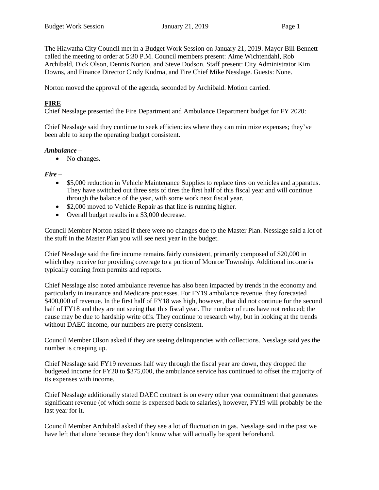The Hiawatha City Council met in a Budget Work Session on January 21, 2019. Mayor Bill Bennett called the meeting to order at 5:30 P.M. Council members present: Aime Wichtendahl, Rob Archibald, Dick Olson, Dennis Norton, and Steve Dodson. Staff present: City Administrator Kim Downs, and Finance Director Cindy Kudrna, and Fire Chief Mike Nesslage. Guests: None.

Norton moved the approval of the agenda, seconded by Archibald. Motion carried.

## **FIRE**

Chief Nesslage presented the Fire Department and Ambulance Department budget for FY 2020:

Chief Nesslage said they continue to seek efficiencies where they can minimize expenses; they've been able to keep the operating budget consistent.

### *Ambulance –*

• No changes.

### *Fire –*

- \$5,000 reduction in Vehicle Maintenance Supplies to replace tires on vehicles and apparatus. They have switched out three sets of tires the first half of this fiscal year and will continue through the balance of the year, with some work next fiscal year.
- \$2,000 moved to Vehicle Repair as that line is running higher.
- Overall budget results in a \$3,000 decrease.

Council Member Norton asked if there were no changes due to the Master Plan. Nesslage said a lot of the stuff in the Master Plan you will see next year in the budget.

Chief Nesslage said the fire income remains fairly consistent, primarily composed of \$20,000 in which they receive for providing coverage to a portion of Monroe Township. Additional income is typically coming from permits and reports.

Chief Nesslage also noted ambulance revenue has also been impacted by trends in the economy and particularly in insurance and Medicare processes. For FY19 ambulance revenue, they forecasted \$400,000 of revenue. In the first half of FY18 was high, however, that did not continue for the second half of FY18 and they are not seeing that this fiscal year. The number of runs have not reduced; the cause may be due to hardship write offs. They continue to research why, but in looking at the trends without DAEC income, our numbers are pretty consistent.

Council Member Olson asked if they are seeing delinquencies with collections. Nesslage said yes the number is creeping up.

Chief Nesslage said FY19 revenues half way through the fiscal year are down, they dropped the budgeted income for FY20 to \$375,000, the ambulance service has continued to offset the majority of its expenses with income.

Chief Nesslage additionally stated DAEC contract is on every other year commitment that generates significant revenue (of which some is expensed back to salaries), however, FY19 will probably be the last year for it.

Council Member Archibald asked if they see a lot of fluctuation in gas. Nesslage said in the past we have left that alone because they don't know what will actually be spent beforehand.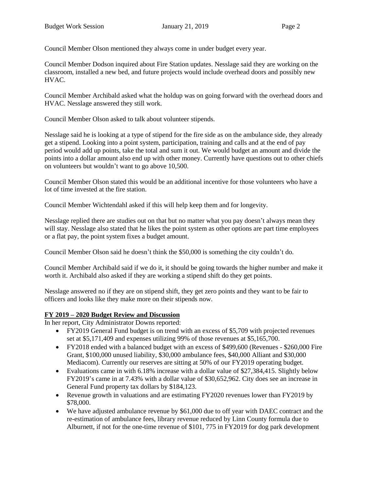Council Member Olson mentioned they always come in under budget every year.

Council Member Dodson inquired about Fire Station updates. Nesslage said they are working on the classroom, installed a new bed, and future projects would include overhead doors and possibly new HVAC.

Council Member Archibald asked what the holdup was on going forward with the overhead doors and HVAC. Nesslage answered they still work.

Council Member Olson asked to talk about volunteer stipends.

Nesslage said he is looking at a type of stipend for the fire side as on the ambulance side, they already get a stipend. Looking into a point system, participation, training and calls and at the end of pay period would add up points, take the total and sum it out. We would budget an amount and divide the points into a dollar amount also end up with other money. Currently have questions out to other chiefs on volunteers but wouldn't want to go above 10,500.

Council Member Olson stated this would be an additional incentive for those volunteers who have a lot of time invested at the fire station.

Council Member Wichtendahl asked if this will help keep them and for longevity.

Nesslage replied there are studies out on that but no matter what you pay doesn't always mean they will stay. Nesslage also stated that he likes the point system as other options are part time employees or a flat pay, the point system fixes a budget amount.

Council Member Olson said he doesn't think the \$50,000 is something the city couldn't do.

Council Member Archibald said if we do it, it should be going towards the higher number and make it worth it. Archibald also asked if they are working a stipend shift do they get points.

Nesslage answered no if they are on stipend shift, they get zero points and they want to be fair to officers and looks like they make more on their stipends now.

# **FY 2019 – 2020 Budget Review and Discussion**

In her report, City Administrator Downs reported:

- FY2019 General Fund budget is on trend with an excess of \$5,709 with projected revenues set at \$5,171,409 and expenses utilizing 99% of those revenues at \$5,165,700.
- FY2018 ended with a balanced budget with an excess of \$499,600 (Revenues \$260,000 Fire Grant, \$100,000 unused liability, \$30,000 ambulance fees, \$40,000 Alliant and \$30,000 Mediacom). Currently our reserves are sitting at 50% of our FY2019 operating budget.
- Evaluations came in with 6.18% increase with a dollar value of \$27,384,415. Slightly below FY2019's came in at 7.43% with a dollar value of \$30,652,962. City does see an increase in General Fund property tax dollars by \$184,123.
- Revenue growth in valuations and are estimating FY2020 revenues lower than FY2019 by \$78,000.
- We have adjusted ambulance revenue by \$61,000 due to off year with DAEC contract and the re-estimation of ambulance fees, library revenue reduced by Linn County formula due to Alburnett, if not for the one-time revenue of \$101, 775 in FY2019 for dog park development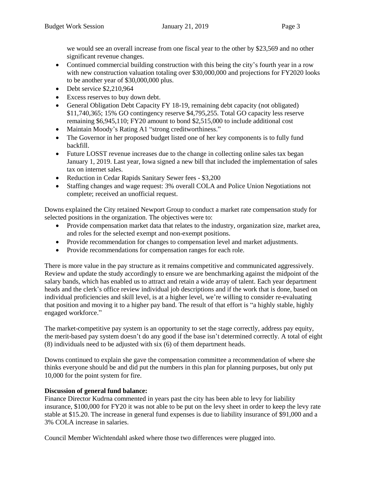we would see an overall increase from one fiscal year to the other by \$23,569 and no other significant revenue changes.

- Continued commercial building construction with this being the city's fourth year in a row with new construction valuation totaling over \$30,000,000 and projections for FY2020 looks to be another year of \$30,000,000 plus.
- Debt service \$2,210,964
- Excess reserves to buy down debt.
- General Obligation Debt Capacity FY 18-19, remaining debt capacity (not obligated) \$11,740,365; 15% GO contingency reserve \$4,795,255. Total GO capacity less reserve remaining \$6,945,110; FY20 amount to bond \$2,515,000 to include additional cost
- Maintain Moody's Rating A1 "strong creditworthiness."
- The Governor in her proposed budget listed one of her key components is to fully fund backfill.
- Future LOSST revenue increases due to the change in collecting online sales tax began January 1, 2019. Last year, Iowa signed a new bill that included the implementation of sales tax on internet sales.
- Reduction in Cedar Rapids Sanitary Sewer fees \$3,200
- Staffing changes and wage request: 3% overall COLA and Police Union Negotiations not complete; received an unofficial request.

Downs explained the City retained Newport Group to conduct a market rate compensation study for selected positions in the organization. The objectives were to:

- Provide compensation market data that relates to the industry, organization size, market area, and roles for the selected exempt and non-exempt positions.
- Provide recommendation for changes to compensation level and market adjustments.
- Provide recommendations for compensation ranges for each role.

There is more value in the pay structure as it remains competitive and communicated aggressively. Review and update the study accordingly to ensure we are benchmarking against the midpoint of the salary bands, which has enabled us to attract and retain a wide array of talent. Each year department heads and the clerk's office review individual job descriptions and if the work that is done, based on individual proficiencies and skill level, is at a higher level, we're willing to consider re-evaluating that position and moving it to a higher pay band. The result of that effort is "a highly stable, highly engaged workforce."

The market-competitive pay system is an opportunity to set the stage correctly, address pay equity, the merit-based pay system doesn't do any good if the base isn't determined correctly. A total of eight (8) individuals need to be adjusted with six (6) of them department heads.

Downs continued to explain she gave the compensation committee a recommendation of where she thinks everyone should be and did put the numbers in this plan for planning purposes, but only put 10,000 for the point system for fire.

# **Discussion of general fund balance:**

Finance Director Kudrna commented in years past the city has been able to levy for liability insurance, \$100,000 for FY20 it was not able to be put on the levy sheet in order to keep the levy rate stable at \$15.20. The increase in general fund expenses is due to liability insurance of \$91,000 and a 3% COLA increase in salaries.

Council Member Wichtendahl asked where those two differences were plugged into.